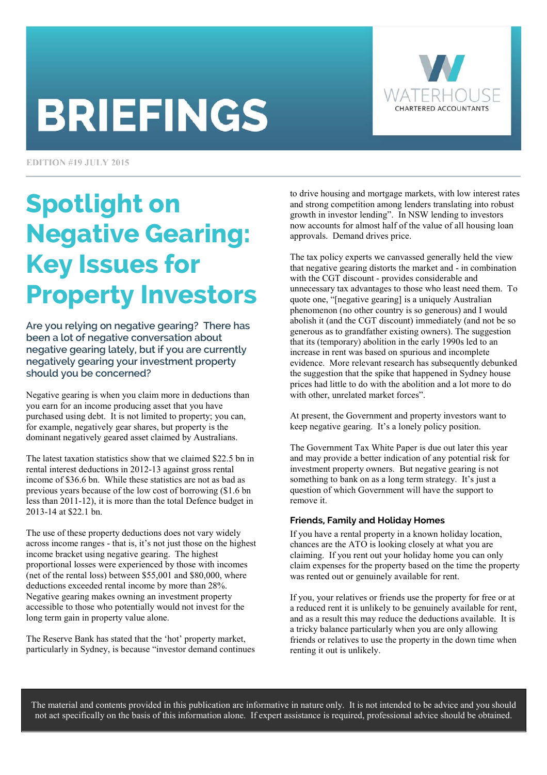# **BRIEFINGS**



**EDITION #19 JULY 2015** 

# Spotlight on Negative Gearing: Key Issues for Property Investors

Are you relying on negative gearing? There has been a lot of negative conversation about negative gearing lately, but if you are currently negatively gearing your investment property should you be concerned?

Negative gearing is when you claim more in deductions than you earn for an income producing asset that you have purchased using debt. It is not limited to property; you can, for example, negatively gear shares, but property is the dominant negatively geared asset claimed by Australians.

The latest taxation statistics show that we claimed \$22.5 bn in rental interest deductions in 2012-13 against gross rental income of \$36.6 bn. While these statistics are not as bad as previous years because of the low cost of borrowing (\$1.6 bn less than 2011-12), it is more than the total Defence budget in 2013-14 at \$22.1 bn.

The use of these property deductions does not vary widely across income ranges - that is, it's not just those on the highest income bracket using negative gearing. The highest proportional losses were experienced by those with incomes (net of the rental loss) between \$55,001 and \$80,000, where deductions exceeded rental income by more than 28%. Negative gearing makes owning an investment property accessible to those who potentially would not invest for the long term gain in property value alone.

The Reserve Bank has stated that the 'hot' property market, particularly in Sydney, is because "investor demand continues

to drive housing and mortgage markets, with low interest rates and strong competition among lenders translating into robust growth in investor lending". In NSW lending to investors now accounts for almost half of the value of all housing loan approvals. Demand drives price.

The tax policy experts we canvassed generally held the view that negative gearing distorts the market and - in combination with the CGT discount - provides considerable and unnecessary tax advantages to those who least need them. To quote one, "[negative gearing] is a uniquely Australian phenomenon (no other country is so generous) and I would abolish it (and the CGT discount) immediately (and not be so generous as to grandfather existing owners). The suggestion that its (temporary) abolition in the early 1990s led to an increase in rent was based on spurious and incomplete evidence. More relevant research has subsequently debunked the suggestion that the spike that happened in Sydney house prices had little to do with the abolition and a lot more to do with other, unrelated market forces".

At present, the Government and property investors want to keep negative gearing. It's a lonely policy position.

The Government Tax White Paper is due out later this year and may provide a better indication of any potential risk for investment property owners. But negative gearing is not something to bank on as a long term strategy. It's just a question of which Government will have the support to remove it.

# **Friends, Family and Holiday Homes**

If you have a rental property in a known holiday location, chances are the ATO is looking closely at what you are claiming. If you rent out your holiday home you can only claim expenses for the property based on the time the property was rented out or genuinely available for rent.

If you, your relatives or friends use the property for free or at a reduced rent it is unlikely to be genuinely available for rent, and as a result this may reduce the deductions available. It is a tricky balance particularly when you are only allowing friends or relatives to use the property in the down time when renting it out is unlikely.

The material and contents provided in this publication are informative in nature only. It is not intended to be advice and you should not act specifically on the basis of this information alone. If expert assistance is required, professional advice should be obtained.